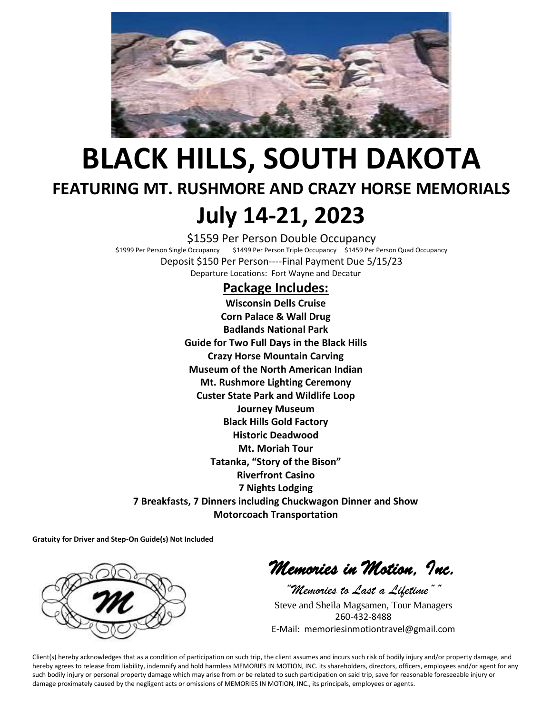

## **BLACK HILLS, SOUTH DAKOTA FEATURING MT. RUSHMORE AND CRAZY HORSE MEMORIALS July 14-21, 2023**

\$1559 Per Person Double Occupancy \$1999 Per Person Single Occupancy \$1499 Per Person Triple Occupancy \$1459 Per Person Quad Occupancy Deposit \$150 Per Person----Final Payment Due 5/15/23 Departure Locations: Fort Wayne and Decatur

#### **Package Includes:**

**Wisconsin Dells Cruise Corn Palace & Wall Drug Badlands National Park Guide for Two Full Days in the Black Hills Crazy Horse Mountain Carving Museum of the North American Indian Mt. Rushmore Lighting Ceremony Custer State Park and Wildlife Loop Journey Museum Black Hills Gold Factory Historic Deadwood Mt. Moriah Tour Tatanka, "Story of the Bison" Riverfront Casino 7 Nights Lodging 7 Breakfasts, 7 Dinners including Chuckwagon Dinner and Show Motorcoach Transportation**

**Gratuity for Driver and Step-On Guide(s) Not Included**



*Memories in Motion, Inc.* 

*"Memories to Last a Lifetime""* Steve and Sheila Magsamen, Tour Managers 260-432-8488 E-Mail: memoriesinmotiontravel@gmail.com

Client(s) hereby acknowledges that as a condition of participation on such trip, the client assumes and incurs such risk of bodily injury and/or property damage, and hereby agrees to release from liability, indemnify and hold harmless MEMORIES IN MOTION, INC. its shareholders, directors, officers, employees and/or agent for any such bodily injury or personal property damage which may arise from or be related to such participation on said trip, save for reasonable foreseeable injury or damage proximately caused by the negligent acts or omissions of MEMORIES IN MOTION, INC., its principals, employees or agents.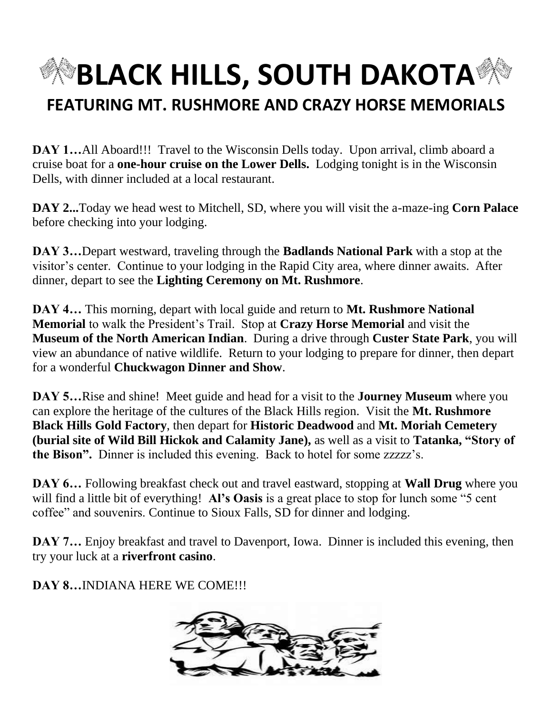

**DAY 1...**All Aboard!!! Travel to the Wisconsin Dells today. Upon arrival, climb aboard a cruise boat for a **one-hour cruise on the Lower Dells.** Lodging tonight is in the Wisconsin Dells, with dinner included at a local restaurant.

**DAY 2...**Today we head west to Mitchell, SD, where you will visit the a-maze-ing **Corn Palace** before checking into your lodging.

**DAY 3…**Depart westward, traveling through the **Badlands National Park** with a stop at the visitor's center. Continue to your lodging in the Rapid City area, where dinner awaits. After dinner, depart to see the **Lighting Ceremony on Mt. Rushmore**.

**DAY 4…** This morning, depart with local guide and return to **Mt. Rushmore National Memorial** to walk the President's Trail. Stop at **Crazy Horse Memorial** and visit the **Museum of the North American Indian**. During a drive through **Custer State Park**, you will view an abundance of native wildlife. Return to your lodging to prepare for dinner, then depart for a wonderful **Chuckwagon Dinner and Show**.

**DAY 5…**Rise and shine! Meet guide and head for a visit to the **Journey Museum** where you can explore the heritage of the cultures of the Black Hills region. Visit the **Mt. Rushmore Black Hills Gold Factory**, then depart for **Historic Deadwood** and **Mt. Moriah Cemetery (burial site of Wild Bill Hickok and Calamity Jane),** as well as a visit to **Tatanka, "Story of the Bison".** Dinner is included this evening. Back to hotel for some zzzzz's.

**DAY 6…** Following breakfast check out and travel eastward, stopping at **Wall Drug** where you will find a little bit of everything! **Al's Oasis** is a great place to stop for lunch some "5 cent" coffee" and souvenirs. Continue to Sioux Falls, SD for dinner and lodging.

**DAY 7...** Enjoy breakfast and travel to Davenport, Iowa. Dinner is included this evening, then try your luck at a **riverfront casino**.

**DAY 8…**INDIANA HERE WE COME!!!